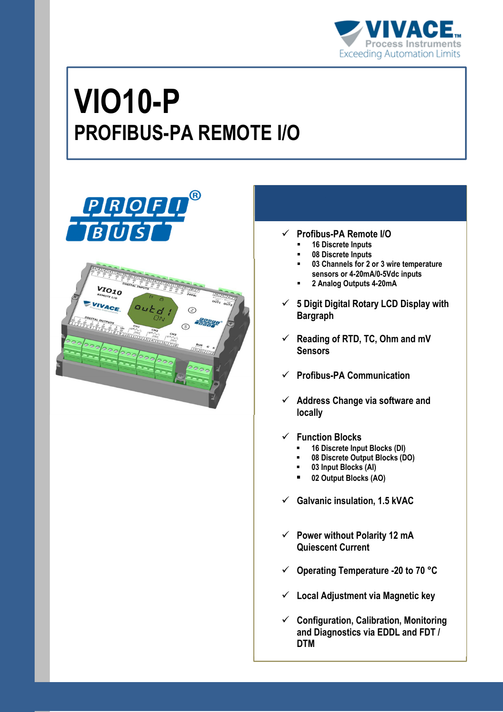

# **VIO10-P PROFIBUS-PA REMOTE I/O**



- **Profibus-PA Remote I/O** 
	- **16 Discrete Inputs**
	- **08 Discrete Inputs**
	- **03 Channels for 2 or 3 wire temperature sensors or 4-20mA/0-5Vdc inputs**
	- **2 Analog Outputs 4-20mA**
- **5 Digit Digital Rotary LCD Display with Bargraph**
- **Reading of RTD, TC, Ohm and mV Sensors**
- **Profibus-PA Communication**
- **Address Change via software and locally**
- **Function Blocks** 
	- **16 Discrete Input Blocks (DI)**
	- **08 Discrete Output Blocks (DO)**
	- **03 Input Blocks (AI)**
	- **02 Output Blocks (AO)**
- **Galvanic insulation, 1.5 kVAC**
- **Power without Polarity 12 mA Quiescent Current**
- **Operating Temperature -20 to 70 °C**
- **Local Adjustment via Magnetic key**
- **Configuration, Calibration, Monitoring and Diagnostics via EDDL and FDT / DTM**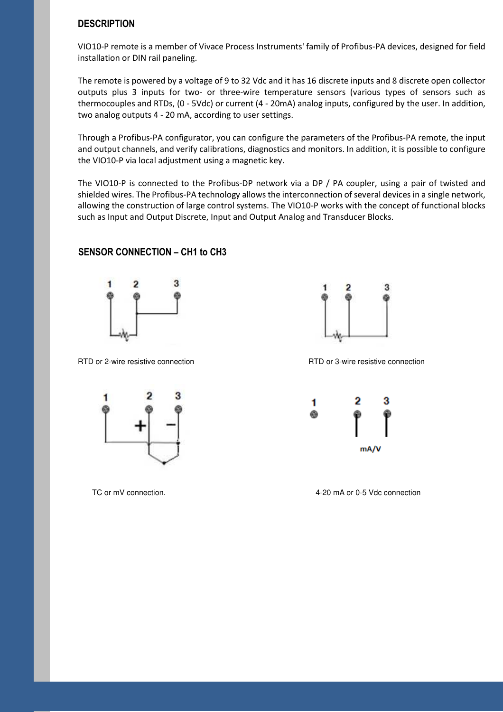#### **DESCRIPTION**

VIO10-P remote is a member of Vivace Process Instruments' family of Profibus-PA devices, designed for field installation or DIN rail paneling.

The remote is powered by a voltage of 9 to 32 Vdc and it has 16 discrete inputs and 8 discrete open collector outputs plus 3 inputs for two- or three-wire temperature sensors (various types of sensors such as thermocouples and RTDs, (0 - 5Vdc) or current (4 - 20mA) analog inputs, configured by the user. In addition, two analog outputs 4 - 20 mA, according to user settings.

Through a Profibus-PA configurator, you can configure the parameters of the Profibus-PA remote, the input and output channels, and verify calibrations, diagnostics and monitors. In addition, it is possible to configure the VIO10-P via local adjustment using a magnetic key.

The VIO10-P is connected to the Profibus-DP network via a DP / PA coupler, using a pair of twisted and shielded wires. The Profibus-PA technology allows the interconnection of several devices in a single network, allowing the construction of large control systems. The VIO10-P works with the concept of functional blocks such as Input and Output Discrete, Input and Output Analog and Transducer Blocks.

#### **SENSOR CONNECTION – CH1 to CH3**



RTD or 2-wire resistive connection RTD or 3-wire resistive connection







TC or mV connection. The state of the state of the state of the 4-20 mA or 0-5 Vdc connection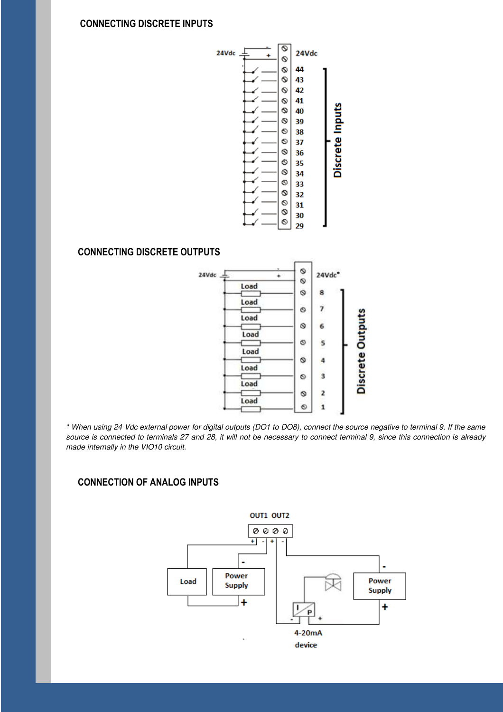#### **CONNECTING DISCRETE INPUTS**



#### **CONNECTING DISCRETE OUTPUTS**



\* When using 24 Vdc external power for digital outputs (DO1 to DO8), connect the source negative to terminal 9. If the same source is connected to terminals 27 and 28, it will not be necessary to connect terminal 9, since this connection is already made internally in the VIO10 circuit.

#### **CONNECTION OF ANALOG INPUTS**

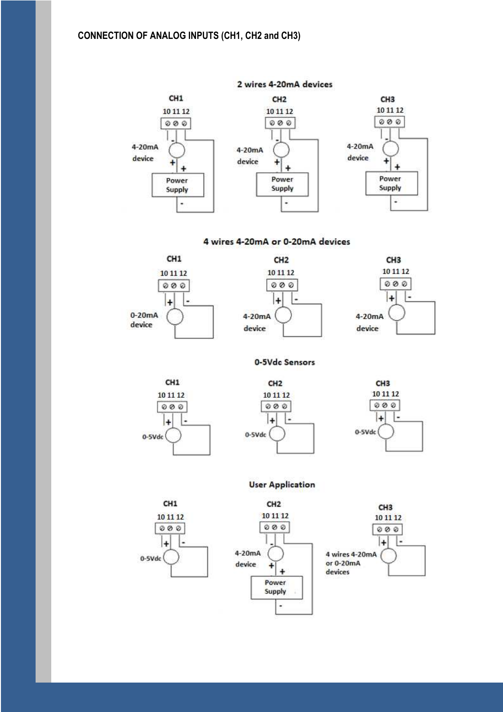#### **CONNECTION OF ANALOG INPUTS (CH1, CH2 and CH3)**



4 wires 4-20mA or 0-20mA devices



0-5Vdc Sensors



CH<sub>1</sub>

10 11 12

 $000$ 

L,

l+

0-5Vdc





#### **User Application**



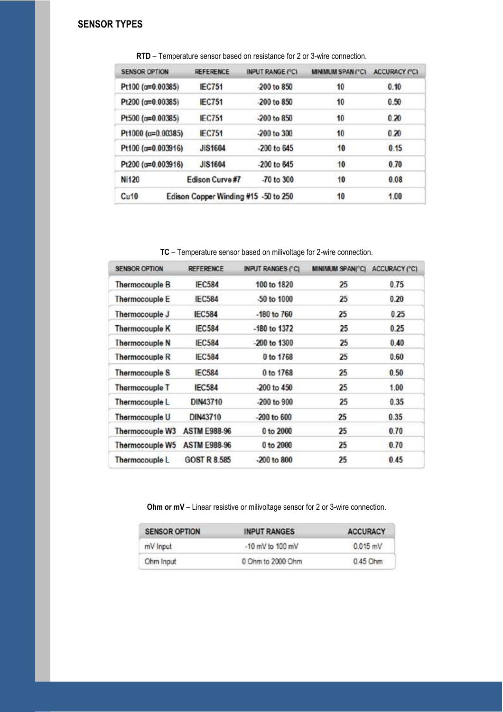## **SENSOR TYPES**

| <b>SENSOR OPTION</b>        | <b>REFERENCE</b>                     | <b>INPUT RANGE (°C)</b> | MINMUM SPAN ("C) | <b>ACCURACY PC)</b> |
|-----------------------------|--------------------------------------|-------------------------|------------------|---------------------|
| Pt100 (a=0.00385)           | <b>IEC751</b>                        | -200 to 850             | 10               | 0.10                |
| Pt200 (a=0.00385)           | <b>IEC751</b>                        | -200 to 850             | 10               | 0.50                |
| Pt500 (c=0.00385)           | <b>IEC751</b>                        | $-200$ to $850$         | 10               | 0.20                |
| Pt1000 ( $\alpha$ =0.00385) | <b>IFC751</b>                        | $-200$ to $300$         | 10               | 0.20                |
| Pt100 (o=0.003916)          | <b>JIS1604</b>                       | $-200$ to $645$         | 10               | 0.15                |
| Pt200 (a=0.003916)          | <b>JIS1604</b>                       | -200 to 645             | 10               | 0.70                |
| Ni120                       | Edison Curve#7                       | -70 to 300              | 10               | 0.08                |
| Cu10                        | Edison Copper Winding #15 -50 to 250 |                         | 10               | 1.00                |

**RTD** – Temperature sensor based on resistance for 2 or 3-wire connection.

**TC** – Temperature sensor based on milivoltage for 2-wire connection.

| <b>SENSOR OPTION</b>  | <b>REFERENCE</b>    | <b>INPUT RANGES (°C)</b> | MINIMUM SPAN("C) | <b>ACCURACY ("C)</b> |
|-----------------------|---------------------|--------------------------|------------------|----------------------|
| Thermocouple B        | <b>IEC584</b>       | 100 to 1820              | 25               | 0.75                 |
| Thermocouple E        | <b>IEC584</b>       | -50 to 1000              | 25               | 0.20                 |
| Thermocouple J        | <b>IEC584</b>       | $-180$ to $760$          | 25               | 0.25                 |
| <b>Thermocouple K</b> | <b>IEC584</b>       | -180 to 1372             | 25               | 0.25                 |
| Thermocouple N        | IEC584              | -200 to 1300             | 25               | 0.40                 |
| Thermocouple R        | <b>IEC584</b>       | 0 to 1768                | 25               | 0.60                 |
| Thermocouple S        | <b>IEC584</b>       | 0 to 1768                | 25               | 0.50                 |
| Thermocouple T        | <b>IEC584</b>       | -200 to 450              | 25               | 1.00                 |
| Thermocouple L        | DIN43710            | -200 to 900              | 25               | 0.35                 |
| Thermocouple U        | DIN43710            | $-200$ to $600$          | 25               | 0.35                 |
| Thermocouple W3       | <b>ASTM E988-96</b> | 0 to 2000                | 25               | 0.70                 |
| Thermocouple W5       | <b>ASTM E988-96</b> | 0 to 2000                | 25               | 0.70                 |
| Thermocouple L        | <b>GOST R 8.585</b> | -200 to 800              | 25               | 0.45                 |

**Ohm or mV** – Linear resistive or milivoltage sensor for 2 or 3-wire connection.

| <b>SENSOR OPTION</b> | <b>INPUT RANGES</b> | <b>ACCURACY</b> |
|----------------------|---------------------|-----------------|
| mV Input             | -10 mV to 100 mV    | $0.015$ mV      |
| Ohm Input            | 0 Ohm to 2000 Ohm   | 0.45 Ohm        |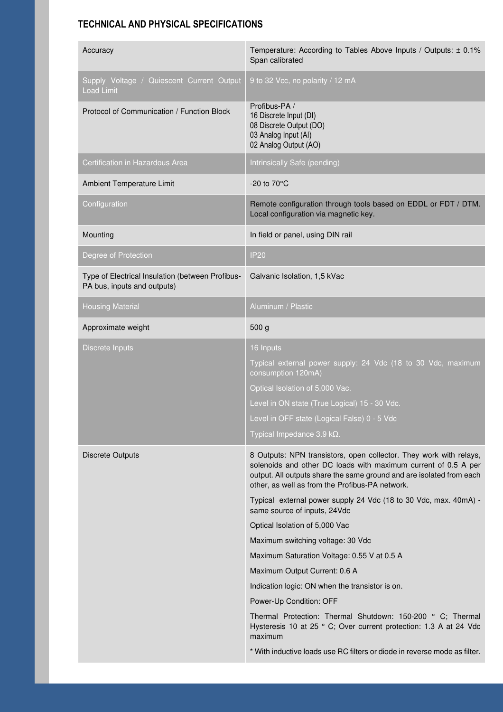## **TECHNICAL AND PHYSICAL SPECIFICATIONS**

| Accuracy                                                                        | Temperature: According to Tables Above Inputs / Outputs: ± 0.1%<br>Span calibrated                                                                                                                                                                              |
|---------------------------------------------------------------------------------|-----------------------------------------------------------------------------------------------------------------------------------------------------------------------------------------------------------------------------------------------------------------|
| Supply Voltage / Quiescent Current Output<br><b>Load Limit</b>                  | 9 to 32 Vcc, no polarity / 12 mA                                                                                                                                                                                                                                |
| Protocol of Communication / Function Block                                      | Profibus-PA /<br>16 Discrete Input (DI)<br>08 Discrete Output (DO)<br>03 Analog Input (AI)<br>02 Analog Output (AO)                                                                                                                                             |
| Certification in Hazardous Area                                                 | Intrinsically Safe (pending)                                                                                                                                                                                                                                    |
| Ambient Temperature Limit                                                       | -20 to 70°C                                                                                                                                                                                                                                                     |
| Configuration                                                                   | Remote configuration through tools based on EDDL or FDT / DTM.<br>Local configuration via magnetic key.                                                                                                                                                         |
| Mounting                                                                        | In field or panel, using DIN rail                                                                                                                                                                                                                               |
| Degree of Protection                                                            | <b>IP20</b>                                                                                                                                                                                                                                                     |
| Type of Electrical Insulation (between Profibus-<br>PA bus, inputs and outputs) | Galvanic Isolation, 1,5 kVac                                                                                                                                                                                                                                    |
| <b>Housing Material</b>                                                         | Aluminum / Plastic                                                                                                                                                                                                                                              |
| Approximate weight                                                              | 500 <sub>g</sub>                                                                                                                                                                                                                                                |
| Discrete Inputs                                                                 | 16 Inputs                                                                                                                                                                                                                                                       |
|                                                                                 | Typical external power supply: 24 Vdc (18 to 30 Vdc, maximum<br>consumption 120mA)                                                                                                                                                                              |
|                                                                                 | Optical Isolation of 5,000 Vac.                                                                                                                                                                                                                                 |
|                                                                                 | Level in ON state (True Logical) 15 - 30 Vdc.                                                                                                                                                                                                                   |
|                                                                                 | Level in OFF state (Logical False) 0 - 5 Vdc                                                                                                                                                                                                                    |
|                                                                                 | Typical Impedance 3.9 k $\Omega$ .                                                                                                                                                                                                                              |
| <b>Discrete Outputs</b>                                                         | 8 Outputs: NPN transistors, open collector. They work with relays,<br>solenoids and other DC loads with maximum current of 0.5 A per<br>output. All outputs share the same ground and are isolated from each<br>other, as well as from the Profibus-PA network. |
|                                                                                 | Typical external power supply 24 Vdc (18 to 30 Vdc, max. 40mA) -<br>same source of inputs, 24Vdc                                                                                                                                                                |
|                                                                                 | Optical Isolation of 5,000 Vac                                                                                                                                                                                                                                  |
|                                                                                 | Maximum switching voltage: 30 Vdc                                                                                                                                                                                                                               |
|                                                                                 | Maximum Saturation Voltage: 0.55 V at 0.5 A                                                                                                                                                                                                                     |
|                                                                                 | Maximum Output Current: 0.6 A                                                                                                                                                                                                                                   |
|                                                                                 | Indication logic: ON when the transistor is on.                                                                                                                                                                                                                 |
|                                                                                 | Power-Up Condition: OFF                                                                                                                                                                                                                                         |
|                                                                                 | Thermal Protection: Thermal Shutdown: 150-200 ° C; Thermal<br>Hysteresis 10 at 25 ° C; Over current protection: 1.3 A at 24 Vdc<br>maximum                                                                                                                      |
|                                                                                 | * With inductive loads use RC filters or diode in reverse mode as filter.                                                                                                                                                                                       |